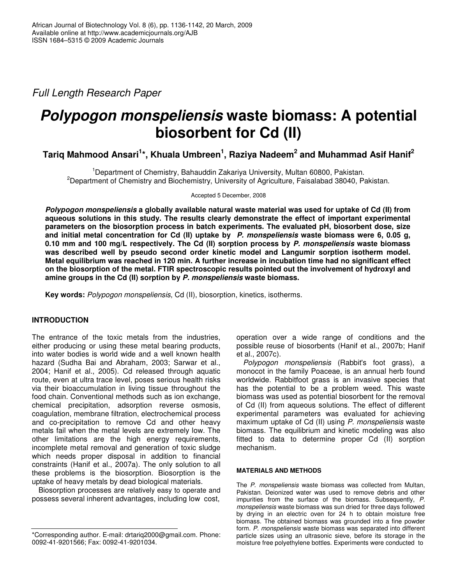*Full Length Research Paper*

# *Polypogon monspeliensis* **waste biomass: A potential biosorbent for Cd (II)**

**Tariq Mahmood Ansari 1 \*, Khuala Umbreen 1 , Raziya Nadeem 2 and Muhammad Asif Hanif 2**

<sup>1</sup>Department of Chemistry, Bahauddin Zakariya University, Multan 60800, Pakistan. <sup>2</sup>Department of Chemistry and Biochemistry, University of Agriculture, Faisalabad 38040, Pakistan.

Accepted 5 December, 2008

*Polypogon monspeliensis* **a globally available natural waste material was used for uptake of Cd (II) from aqueous solutions in this study. The results clearly demonstrate the effect of important experimental parameters on the biosorption process in batch experiments. The evaluated pH, biosorbent dose, size and initial metal concentration for Cd (II) uptake by** *P. monspeliensis* **waste biomass were 6, 0.05 g, 0.10 mm and 100 mg/L respectively. The Cd (II) sorption process by** *P. monspeliensis* **waste biomass was described well by pseudo second order kinetic model and Langumir sorption isotherm model. Metal equilibrium was reached in 120 min. A further increase in incubation time had no significant effect on the biosorption of the metal. FTIR spectroscopic results pointed out the involvement of hydroxyl and amine groups in the Cd (II) sorption by** *P. monspeliensis* **waste biomass.**

**Key words:** *Polypogon monspeliensis*, Cd (II), biosorption, kinetics, isotherms.

## **INTRODUCTION**

The entrance of the toxic metals from the industries, either producing or using these metal bearing products, into water bodies is world wide and a well known health hazard (Sudha Bai and Abraham, 2003; Sarwar et al., 2004; Hanif et al., 2005). Cd released through aquatic route, even at ultra trace level, poses serious health risks via their bioaccumulation in living tissue throughout the food chain. Conventional methods such as ion exchange, chemical precipitation, adsorption reverse osmosis, coagulation, membrane filtration, electrochemical process and co-precipitation to remove Cd and other heavy metals fail when the metal levels are extremely low. The other limitations are the high energy requirements, incomplete metal removal and generation of toxic sludge which needs proper disposal in addition to financial constraints (Hanif et al., 2007a). The only solution to all these problems is the biosorption. Biosorption is the uptake of heavy metals by dead biological materials.

Biosorption processes are relatively easy to operate and possess several inherent advantages, including low cost,

operation over a wide range of conditions and the possible reuse of biosorbents (Hanif et al., 2007b; Hanif et al., 2007c).

*Polypogon monspeliensis* (Rabbit's foot grass), a monocot in the family Poaceae, is an annual herb found worldwide. Rabbitfoot grass is an invasive species that has the potential to be a problem weed. This waste biomass was used as potential biosorbent for the removal of Cd (II) from aqueous solutions. The effect of different experimental parameters was evaluated for achieving maximum uptake of Cd (II) using *P. monspeliensis* waste biomass. The equilibrium and kinetic modeling was also fitted to data to determine proper Cd (II) sorption mechanism.

## **MATERIALS AND METHODS**

The *P. monspeliensis* waste biomass was collected from Multan, Pakistan. Deionized water was used to remove debris and other impurities from the surface of the biomass. Subsequently, *P. monspeliensis* waste biomass was sun dried for three days followed by drying in an electric oven for 24 h to obtain moisture free biomass. The obtained biomass was grounded into a fine powder form. *P. monspeliensis* waste biomass was separated into different particle sizes using an ultrasonic sieve, before its storage in the moisture free polyethylene bottles. Experiments were conducted to

<sup>\*</sup>Corresponding author. E-mail: drtariq2000@gmail.com. Phone: 0092-41-9201566; Fax: 0092-41-9201034.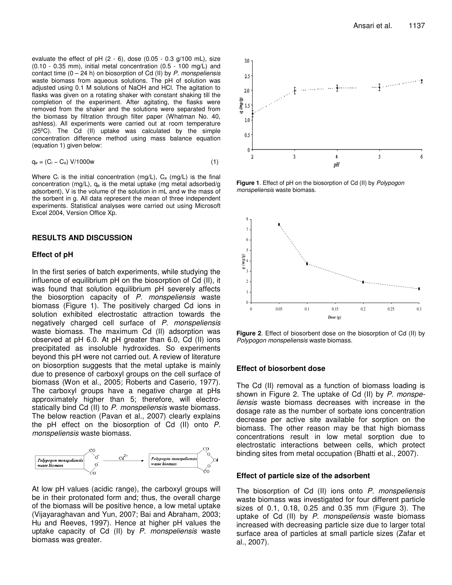evaluate the effect of pH  $(2 - 6)$ , dose  $(0.05 - 0.3$  g/100 mL), size (0.10 - 0.35 mm), initial metal concentration (0.5 - 100 mg/L) and contact time (0 – 24 h) on biosorption of Cd (II) by *P. monspeliensis* waste biomass from aqueous solutions. The pH of solution was adjusted using 0.1 M solutions of NaOH and HCl. The agitation to flasks was given on a rotating shaker with constant shaking till the completion of the experiment. After agitating, the flasks were removed from the shaker and the solutions were separated from the biomass by filtration through filter paper (Whatman No. 40, ashless). All experiments were carried out at room temperature (25ºC). The Cd (II) uptake was calculated by the simple concentration difference method using mass balance equation (equation 1) given below:

$$
q_e = (C_i - C_e) V/1000w \qquad (1)
$$

Where  $C_i$  is the initial concentration (mg/L),  $C_e$  (mg/L) is the final concentration (mg/L), q<sup>e</sup> is the metal uptake (mg metal adsorbed/g adsorbent), V is the volume of the solution in mL and w the mass of the sorbent in g. All data represent the mean of three independent experiments. Statistical analyses were carried out using Microsoft Excel 2004, Version Office Xp.

#### **RESULTS AND DISCUSSION**

#### **Effect of pH**

In the first series of batch experiments, while studying the influence of equilibrium pH on the biosorption of Cd (II), it was found that solution equilibrium pH severely affects the biosorption capacity of *P. monspeliensis* waste biomass (Figure 1). The positively charged Cd ions in solution exhibited electrostatic attraction towards the negatively charged cell surface of *P. monspeliensis* waste biomass. The maximum Cd (II) adsorption was observed at pH 6.0. At pH greater than 6.0, Cd (II) ions precipitated as insoluble hydroxides. So experiments beyond this pH were not carried out. A review of literature on biosorption suggests that the metal uptake is mainly due to presence of carboxyl groups on the cell surface of biomass (Won et al., 2005; Roberts and Caserio, 1977). The carboxyl groups have a negative charge at pHs approximately higher than 5; therefore, will electrostatically bind Cd (II) to *P. monspeliensis* waste biomass. The below reaction (Pavan et al., 2007) clearly explains the pH effect on the biosorption of Cd (II) onto *P. monspeliensis* waste biomass.



At low pH values (acidic range), the carboxyl groups will be in their protonated form and; thus, the overall charge of the biomass will be positive hence, a low metal uptake (Vijayaraghavan and Yun, 2007; Bai and Abraham, 2003; Hu and Reeves, 1997). Hence at higher pH values the uptake capacity of Cd (II) by *P. monspeliensis* waste biomass was greater.



**Figure 1**. Effect of pH on the biosorption of Cd (II) by *Polypogon monspeliensis* waste biomass.



**Figure 2**. Effect of biosorbent dose on the biosorption of Cd (II) by *Polypogon monspeliensis* waste biomass.

#### **Effect of biosorbent dose**

The Cd (II) removal as a function of biomass loading is shown in Figure 2. The uptake of Cd (II) by *P. monspeliensis* waste biomass decreases with increase in the dosage rate as the number of sorbate ions concentration decrease per active site available for sorption on the biomass. The other reason may be that high biomass concentrations result in low metal sorption due to electrostatic interactions between cells, which protect binding sites from metal occupation (Bhatti et al., 2007).

#### **Effect of particle size of the adsorbent**

The biosorption of Cd (II) ions onto *P. monspeliensis* waste biomass was investigated for four different particle sizes of 0.1, 0.18, 0.25 and 0.35 mm (Figure 3). The uptake of Cd (II) by *P. monspeliensis* waste biomass increased with decreasing particle size due to larger total surface area of particles at small particle sizes (Zafar et al., 2007).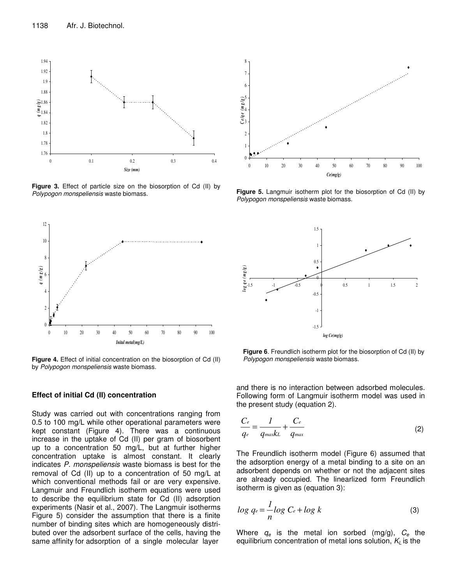

**Figure 3.** Effect of particle size on the biosorption of Cd (II) by *Polypogon monspeliensis* waste biomass.



**Figure 4.** Effect of initial concentration on the biosorption of Cd (II) by *Polypogon monspeliensis* waste biomass.

#### **Effect of initial Cd (II) concentration**

Study was carried out with concentrations ranging from 0.5 to 100 mg/L while other operational parameters were kept constant (Figure 4). There was a continuous increase in the uptake of Cd (II) per gram of biosorbent up to a concentration 50 mg/L, but at further higher concentration uptake is almost constant. It clearly indicates *P. monspeliensis* waste biomass is best for the removal of Cd (II) up to a concentration of 50 mg/L at which conventional methods fail or are very expensive. Langmuir and Freundlich isotherm equations were used to describe the equilibrium state for Cd (II) adsorption experiments (Nasir et al., 2007). The Langmuir isotherms Figure 5) consider the assumption that there is a finite number of binding sites which are homogeneously distributed over the adsorbent surface of the cells, having the same affinity for adsorption of a single molecular layer



**Figure 5.** Langmuir isotherm plot for the biosorption of Cd (II) by *Polypogon monspeliensis* waste biomass.



**Figure 6**. Freundlich isotherm plot for the biosorption of Cd (II) by *Polypogon monspeliensis* waste biomass.

and there is no interaction between adsorbed molecules. Following form of Langmuir isotherm model was used in the present study (equation 2).

$$
\frac{C_e}{q_e} = \frac{1}{q_{\text{max}}k} + \frac{C_e}{q_{\text{max}}}
$$
(2)

The Freundlich isotherm model (Figure 6) assumed that the adsorption energy of a metal binding to a site on an adsorbent depends on whether or not the adjacent sites are already occupied. The linearlized form Freundlich isotherm is given as (equation 3):

$$
\log q_e = \frac{1}{n} \log C_e + \log k \tag{3}
$$

Where *q<sup>e</sup>* is the metal ion sorbed (mg/g), *C<sup>e</sup>* the equilibrium concentration of metal ions solution, *K<sup>L</sup>* is the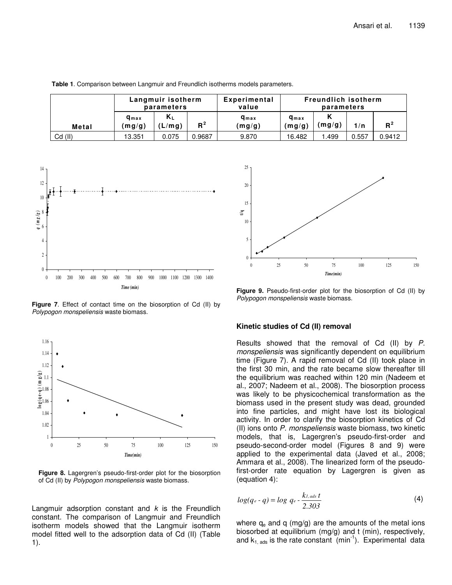|           | Langmuir isotherm<br>parameters |                 | Experimental<br>value | <b>Freundlich isotherm</b><br>parameters |                                   |        |       |        |
|-----------|---------------------------------|-----------------|-----------------------|------------------------------------------|-----------------------------------|--------|-------|--------|
| Metal     | $q_{max}$<br>(mg/g)             | $K_L$<br>(L/mq) | $R^2$                 | <b>g</b> <sub>max</sub><br>(mg/g)        | <b>g</b> <sub>max</sub><br>(mg/g) | (mg/g) | 1/n   | $R^2$  |
| $Cd$ (II) | 13.351                          | 0.075           | 0.9687                | 9.870                                    | 16.482                            | .499   | 0.557 | 0.9412 |

**Table 1**. Comparison between Langmuir and Freundlich isotherms models parameters.



**Figure 7**. Effect of contact time on the biosorption of Cd (II) by *Polypogon monspeliensis* waste biomass.



**Figure 8.** Lagergren's pseudo-first-order plot for the biosorption of Cd (II) by *Polypogon monspeliensis* waste biomass.

Langmuir adsorption constant and *k* is the Freundlich constant. The comparison of Langmuir and Freundlich isotherm models showed that the Langmuir isotherm model fitted well to the adsorption data of Cd (II) (Table 1).



**Figure 9.** Pseudo-first-order plot for the biosorption of Cd (II) by *Polypogon monspeliensis* waste biomass.

## **Kinetic studies of Cd (II) removal**

Results showed that the removal of Cd (II) by *P. monspeliensis* was significantly dependent on equilibrium time (Figure 7). A rapid removal of Cd (II) took place in the first 30 min, and the rate became slow thereafter till the equilibrium was reached within 120 min (Nadeem et al., 2007; Nadeem et al., 2008). The biosorption process was likely to be physicochemical transformation as the biomass used in the present study was dead, grounded into fine particles, and might have lost its biological activity. In order to clarify the biosorption kinetics of Cd (II) ions onto *P. monspeliensis* waste biomass, two kinetic models, that is, Lagergren's pseudo-first-order and pseudo-second-order model (Figures 8 and 9) were applied to the experimental data (Javed et al., 2008; Ammara et al., 2008). The linearized form of the pseudofirst-order rate equation by Lagergren is given as (equation 4):

$$
log(q_e - q) = log \ q_e - \frac{k_{1,ads} t}{2.303}
$$
 (4)

where  $q_e$  and q (mg/g) are the amounts of the metal ions biosorbed at equilibrium (mg/g) and t (min), respectively, and  $k_{1,ads}$  is the rate constant (min<sup>-1</sup>). Experimental data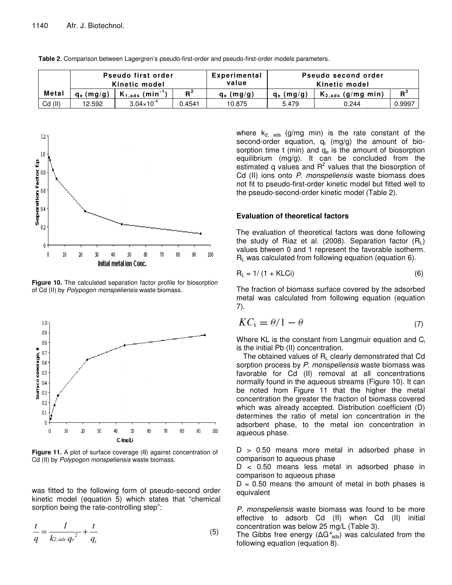|           | Pseudo first order<br>Kinetic model |                                  |        | Experimental<br>value | Pseudo second order<br>Kinetic model |                        |        |  |
|-----------|-------------------------------------|----------------------------------|--------|-----------------------|--------------------------------------|------------------------|--------|--|
| Metal     | $q_e$ (mg/g)                        | $K_{1,ads}$ (min <sup>-1</sup> ) | $R^2$  | $q_e$ (mg/g)          | $q_e$ (mg/g)                         | $K_{2,ads}$ (g/mg min) | $R^2$  |  |
| $Cd$ (II) | 12.592                              | $3.04 \times 10^{-4}$            | 0.4541 | 10.875                | 5.479                                | 0.244                  | 0.9997 |  |

**Table 2**. Comparison between Lagergren's pseudo-first-order and pseudo-first-order models parameters.



**Figure 10.** The calculated separation factor profile for biosorption of Cd (II) by *Polypogon monspeliensis* waste biomass.



**Figure 11.** A plot of surface coverage ( $\theta$ ) against concentration of Cd (II) by *Polypogon monspeliensis* waste biomass.

was fitted to the following form of pseudo-second order kinetic model (equation 5) which states that "chemical sorption being the rate-controlling step":

$$
\frac{t}{q} = \frac{1}{k_{2,ads}q_e^2} + \frac{t}{q_t}
$$
\n<sup>(5)</sup>

where  $k_{2, \text{ads}}$  (g/mg min) is the rate constant of the second-order equation,  $q_t$  (mg/g) the amount of biosorption time t (min) and  $q_e$  is the amount of biosorption equilibrium (mg/g). It can be concluded from the estimated q values and  $R^2$  values that the biosorption of Cd (II) ions onto *P. monspeliensis* waste biomass does not fit to pseudo-first-order kinetic model but fitted well to the pseudo-second-order kinetic model (Table 2).

### **Evaluation of theoretical factors**

The evaluation of theoretical factors was done following the study of Riaz et al. (2008). Separation factor  $(R<sub>L</sub>)$ values btween 0 and 1 represent the favorable isotherm.  $R_1$  was calculated from following equation (equation 6).

$$
R_{L} = 1/\left(1 + KLCi\right) \tag{6}
$$

The fraction of biomass surface covered by the adsorbed metal was calculated from following equation (equation 7).

$$
KCi = \theta/1 - \theta \tag{7}
$$

Where KL is the constant from Langmuir equation and C<sub>i</sub> is the initial Pb (II) concentration.

The obtained values of  $R<sub>L</sub>$  clearly demonstrated that Cd sorption process by *P. monspeliensis* waste biomass was favorable for Cd (II) removal at all concentrations normally found in the aqueous streams (Figure 10). It can be noted from Figure 11 that the higher the metal concentration the greater the fraction of biomass covered which was already accepted. Distribution coefficient (D) determines the ratio of metal ion concentration in the adsorbent phase, to the metal ion concentration in aqueous phase.

 $D > 0.50$  means more metal in adsorbed phase in comparison to aqueous phase

D < 0.50 means less metal in adsorbed phase in comparison to aqueous phase

 $D = 0.50$  means the amount of metal in both phases is equivalent

*P. monspeliensis* waste biomass was found to be more effective to adsorb Cd (II) when Cd (II) initial concentration was below 25 mg/L (Table 3).

The Gibbs free energy ( $\Delta G^{\circ}_{ads}$ ) was calculated from the following equation (equation 8).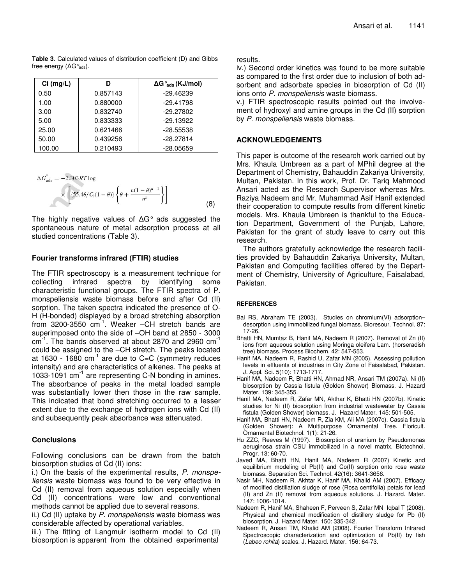**Table 3**. Calculated values of distribution coefficient (D) and Gibbs free energy ( $\Delta G^{\circ}_{ads}$ ).

| $Ci$ (mg/L) |          | $\Delta G_{ads}$ (KJ/mol) |  |  |
|-------------|----------|---------------------------|--|--|
| 0.50        | 0.857143 | $-29.46239$               |  |  |
| 1.00        | 0.880000 | $-29.41798$               |  |  |
| 3.00        | 0.832740 | $-29.27802$               |  |  |
| 5.00        | 0.833333 | $-29.13922$               |  |  |
| 25.00       | 0.621466 | $-28.55538$               |  |  |
| 50.00       | 0.439256 | $-28.27814$               |  |  |
| 100.00      | 0.210493 | $-28.05659$               |  |  |

$$
\Delta G_{\text{ads}}^{\circ} = -2.303RT \log
$$
  
\n
$$
\times \left[ \{55.4\theta/C_1(1-\theta)\} \left\{ \theta + \frac{n(1-\theta)^{n-1}}{n^n} \right\} \right]
$$
\n(8)

The highly negative values of  $\Delta G^{\circ}$  ads suggested the spontaneous nature of metal adsorption process at all studied concentrations (Table 3).

## **Fourier transforms infrared (FTIR) studies**

The FTIR spectroscopy is a measurement technique for collecting infrared spectra by identifying some characteristic functional groups. The FTIR spectra of P. monspeliensis waste biomass before and after Cd (II) sorption. The taken spectra indicated the presence of O-H (H-bonded) displayed by a broad stretching absorption from 3200-3550 cm<sup>-1</sup>. Weaker -CH stretch bands are superimposed onto the side of –OH band at 2850 - 3000 cm<sup>-1</sup>. The bands observed at about 2870 and 2960 cm<sup>-1</sup> could be assigned to the –CH stretch. The peaks located at 1630 - 1680 cm $^{-1}$  are due to C=C (symmetry reduces intensity) and are characteristics of alkenes. The peaks at 1033-1091 cm<sup>-1</sup> are representing C-N bonding in amines. The absorbance of peaks in the metal loaded sample was substantially lower then those in the raw sample. This indicated that bond stretching occurred to a lesser extent due to the exchange of hydrogen ions with Cd (II) and subsequently peak absorbance was attenuated.

### **Conclusions**

Following conclusions can be drawn from the batch biosorption studies of Cd (II) ions:

i.) On the basis of the experimental results, *P. monspeliensis* waste biomass was found to be very effective in Cd (II) removal from aqueous solution especially when Cd (II) concentrations were low and conventional methods cannot be applied due to several reasons.

ii.) Cd (II) uptake by *P. monspeliensis* waste biomass was considerable affected by operational variables.

iii.) The fitting of Langmuir isotherm model to Cd (II) biosorption is apparent from the obtained experimental

#### results.

iv.) Second order kinetics was found to be more suitable as compared to the first order due to inclusion of both adsorbent and adsorbate species in biosorption of Cd (II) ions onto *P. monspeliensis* waste biomass.

v.) FTIR spectroscopic results pointed out the involvement of hydroxyl and amine groups in the Cd (II) sorption by *P. monspeliensis* waste biomass.

## **ACKNOWLEDGEMENTS**

This paper is outcome of the research work carried out by Mrs. Khaula Umbreen as a part of MPhil degree at the Department of Chemistry, Bahauddin Zakariya University, Multan, Pakistan. In this work, Prof. Dr. Tariq Mahmood Ansari acted as the Research Supervisor whereas Mrs. Raziya Nadeem and Mr. Muhammad Asif Hanif extended their cooperation to compute results from different kinetic models. Mrs. Khaula Umbreen is thankful to the Education Department, Government of the Punjab, Lahore, Pakistan for the grant of study leave to carry out this research.

The authors gratefully acknowledge the research facilities provided by Bahauddin Zakariya University, Multan, Pakistan and Computing facilities offered by the Department of Chemistry, University of Agriculture, Faisalabad, Pakistan.

### **REFERENCES**

- Bai RS, Abraham TE (2003). Studies on chromium(VI) adsorption– desorption using immobilized fungal biomass. Bioresour. Technol. 87: 17-26.
- Bhatti HN, Mumtaz B, Hanif MA, Nadeem R (2007). Removal of Zn (II) ions from aqueous solution using Moringa oleifera Lam. (horseradish tree) biomass. Process Biochem. 42: 547-553.
- Hanif MA, Nadeem R, Rashid U, Zafar MN (2005). Assessing pollution levels in effluents of industries in City Zone of Faisalabad, Pakistan. J. Appl. Sci. 5(10): 1713-1717.
- Hanif MA, Nadeem R, Bhatti HN, Ahmad NR, Ansari TM (2007a). Ni (II) biosorption by Cassia fistula (Golden Shower) Biomass. J. Hazard Mater. 139: 345-355.
- Hanif MA, Nadeem R, Zafar MN, Akthar K, Bhatti HN (2007b). Kinetic studies for Ni (II) biosorption from industrial wastewater by Cassia fistula (Golden Shower) biomass. J. Hazard Mater. 145: 501-505.
- Hanif MA, Bhatti HN, Nadeem R, Zia KM, Ali MA (2007c). Cassia fistula (Golden Shower): A Multipurpose Ornamental Tree. Floricult. Ornamental Biotechnol. 1(1): 21-26.
- Hu ZZC, Reeves M (1997). Biosorption of uranium by Pseudomonas aeruginosa strain CSU immobilized in a novel matrix. Biotechnol. Progr. 13: 60-70.
- Javed MA, Bhatti HN, Hanif MA, Nadeem R (2007) Kinetic and equilibrium modeling of Pb(II) and Co(II) sorption onto rose waste biomass. Separation Sci. Technol. 42(16): 3641-3656.
- Nasir MH, Nadeem R, Akhtar K, Hanif MA, Khaild AM (2007). Efficacy of modified distillation sludge of rose (Rosa centifolia) petals for lead (II) and Zn (II) removal from aqueous solutions. J. Hazard. Mater. 147: 1006-1014.
- Nadeem R, Hanif MA, Shaheen F, Perveen S, Zafar MN Iqbal T (2008). Physical and chemical modification of distillery sludge for Pb (II) biosorption. J. Hazard Mater. 150: 335-342.
- Nadeem R, Ansari TM, Khalid AM (2008). Fourier Transform Infrared Spectroscopic characterization and optimization of Pb(II) by fish (*Labeo rohita*) scales. J. Hazard. Mater. 156: 64-73.